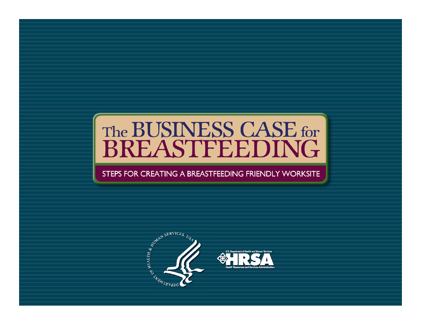# The BUSINESS CASE for<br>BREASTFEEDING

#### STEPS FOR CREATING A BREASTFEEDING FRIENDLY WORKSITE

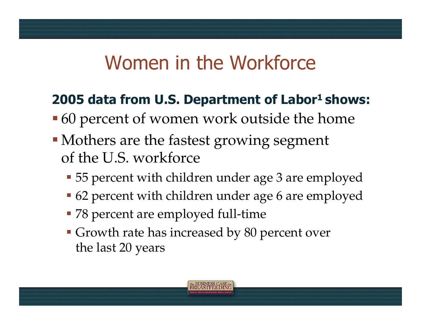### Women in the Workforce

### **2005 data from U.S. Department of Labor<sup>1</sup> shows:**

- **•60 percent of women work outside the home**
- Mothers are the fastest growing segment of the U.S. workforce
	- **-55** percent with children under age 3 are employed
	- 62 percent with children under age 6 are employed
	- 78 percent are employed full-time
	- Growth rate has increased by 80 percent over the last 20 years

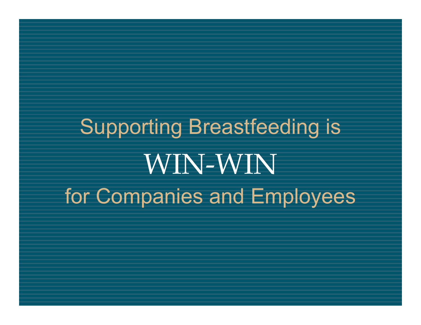Supporting Breastfeeding is WIN-WIN for Companies and Employees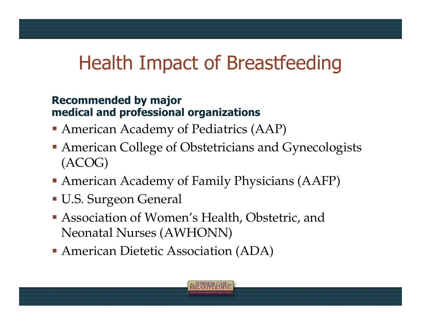### Health Impact of Breastfeeding

#### **Recommended by major medical and professional organizations**

- American Academy of Pediatrics (AAP)
- **American College of Obstetricians and Gynecologists** (ACOG)
- American Academy of Family Physicians (AAFP)
- U.S. Surgeon General
- Association of Women's Health, Obstetric, and Neonatal Nurses (AWHONN)
- American Dietetic Association (ADA)

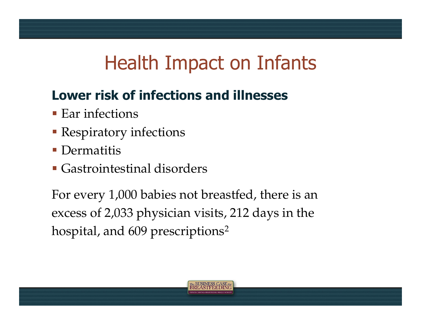### Health Impact on Infants

### **Lower risk of infections and illnesses**

- $\blacksquare$  Ear infections
- **Respiratory infections**
- **Dermatitis**
- Gastrointestinal disorders

For every 1,000 babies not breastfed, there is an excess of 2,033 physician visits, 212 days in the hospital, and 609 prescriptions<sup>2</sup>

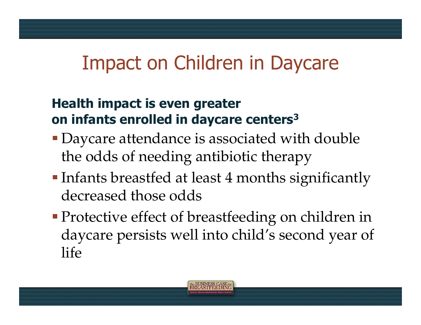### Impact on Children in Daycare

#### **Health impact is even greater on infants enrolled in daycare centers3**

- Daycare attendance is associated with double the odds of needing antibiotic therapy
- **Infants breastfed at least 4 months significantly** decreased those odds
- **Protective effect of breastfeeding on children in** daycare persists well into child's second year of life

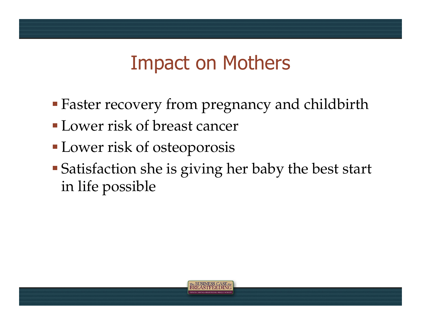### Impact on Mothers

- Faster recovery from pregnancy and childbirth
- Lower risk of breast cancer
- **Lower risk of osteoporosis**
- Satisfaction she is giving her baby the best start in life possible

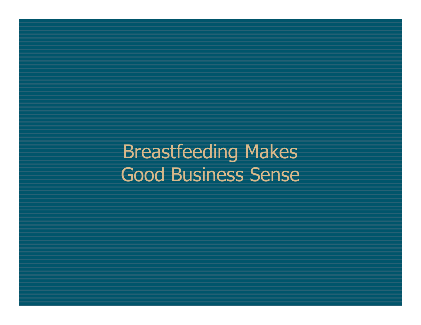Breastfeeding Makes Good Business Sense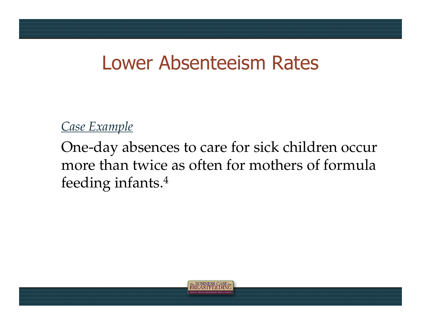### Lower Absenteeism Rates

*Case Example*

One-day absences to care for sick children occur more than twice as often for mothers of formula feeding infants.4

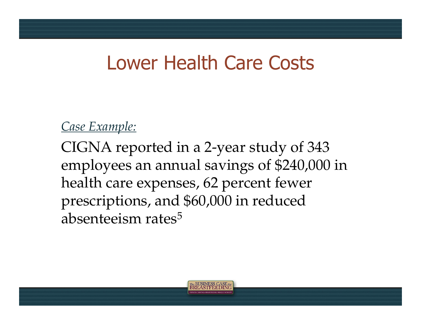### Lower Health Care Costs

#### *Case Example:*

CIGNA reported in a 2-year study of 343 employees an annual savings of \$240,000 in health care expenses, 62 percent fewer prescriptions, and \$60,000 in reduced absenteeism rates<sup>5</sup>

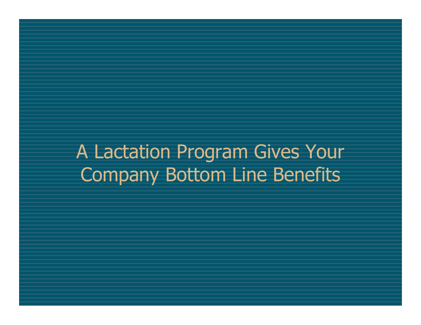A Lactation Program Gives Your Company Bottom Line Benefits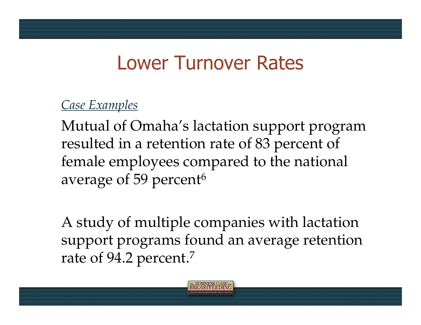### Lower Turnover Rates

#### *Case Examples*

Mutual of Omaha's lactation support program resulted in a retention rate of 83 percent of female employees compared to the national average of 59 percent<sup>6</sup>

A study of multiple companies with lactation support programs found an average retention rate of 94.2 percent.<sup>7</sup>

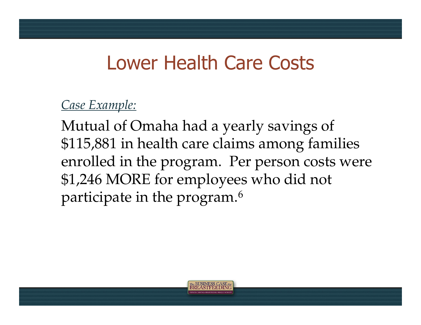### Lower Health Care Costs

#### *Case Example:*

Mutual of Omaha had a yearly savings of \$115,881 in health care claims among families enrolled in the program. Per person costs were \$1,246 MORE for employees who did not participate in the program.6

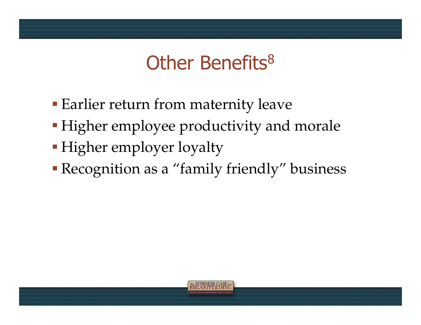### Other Benefits<sup>8</sup>

- **Earlier return from maternity leave**
- **Higher employee productivity and morale**
- **Higher employer loyalty**
- Recognition as a "family friendly" business

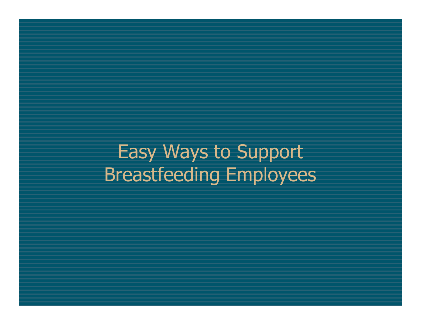Easy Ways to Support Breastfeeding Employees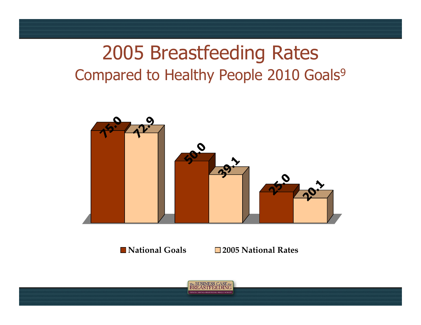### 2005 Breastfeeding Rates Compared to Healthy People 2010 Goals<sup>9</sup>



**National Goals 2005 National Rates**

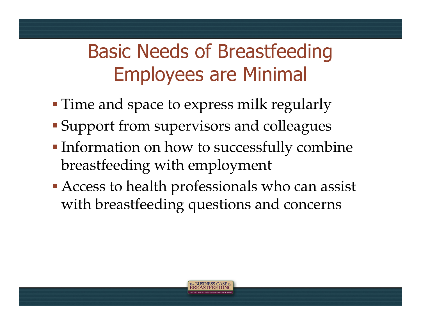## Basic Needs of Breastfeeding Employees are Minimal

- **Time and space to express milk regularly**
- Support from supervisors and colleagues
- **Information on how to successfully combine** breastfeeding with employment
- Access to health professionals who can assist with breastfeeding questions and concerns

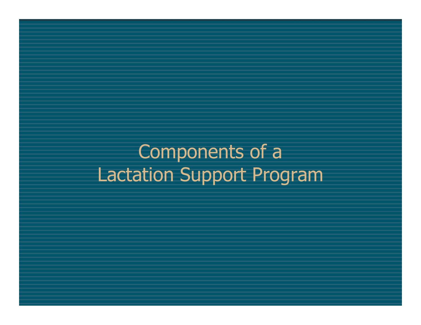Components of a Lactation Support Program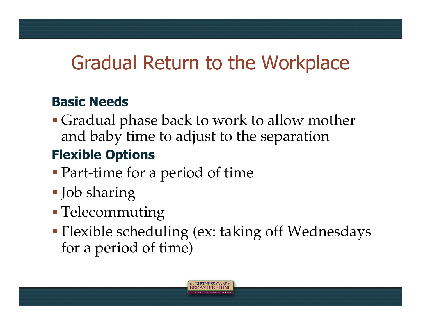### Gradual Return to the Workplace

#### **Basic Needs**

Gradual phase back to work to allow mother and baby time to adjust to the separation

### **Flexible Options**

- Part-time for a period of time
- Job sharing
- **Telecommuting**
- Flexible scheduling (ex: taking off Wednesdays for a period of time)

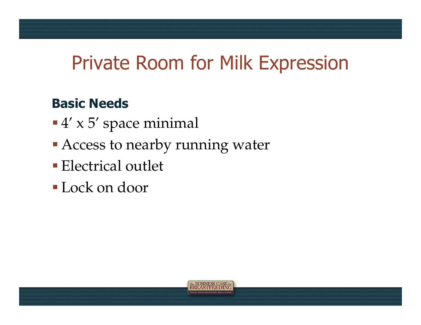### Private Room for Milk Expression

#### **Basic Needs**

- $-4' \times 5'$  space minimal
- **Access to nearby running water**
- **Electrical outlet**
- Lock on door

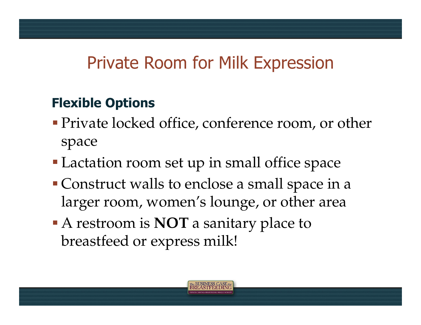### Private Room for Milk Expression

### **Flexible Options**

- **Private locked office, conference room, or other** space
- **Lactation room set up in small office space**
- Construct walls to enclose a small space in a larger room, women's lounge, or other area
- A restroom is **NOT** a sanitary place to breastfeed or express milk!

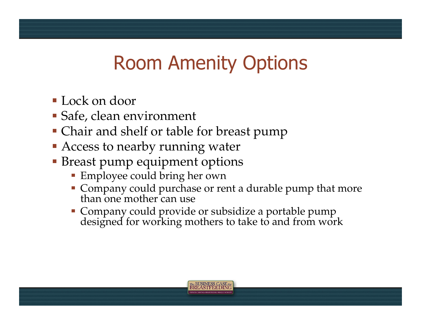### Room Amenity Options

- Lock on door
- Safe, clean environment
- Chair and shelf or table for breast pump
- **Access to nearby running water**
- **Breast pump equipment options** 
	- **Employee could bring her own**
	- Company could purchase or rent a durable pump that more than one mother can use
	- Company could provide or subsidize a portable pump designed for working mothers to take to and from work

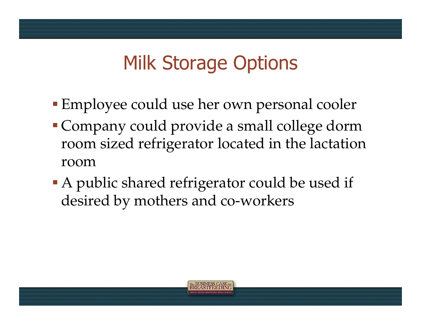### Milk Storage Options

- Employee could use her own personal cooler
- Company could provide a small college dorm room sized refrigerator located in the lactation room
- A public shared refrigerator could be used if desired by mothers and co-workers

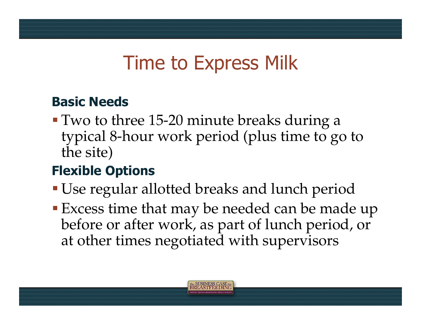### Time to Express Milk

#### **Basic Needs**

Two to three 15-20 minute breaks during a typical 8-hour work period (plus time to go to the site)

#### **Flexible Options**

- Use regular allotted breaks and lunch period
- Excess time that may be needed can be made up before or after work, as part of lunch period, or at other times negotiated with supervisors

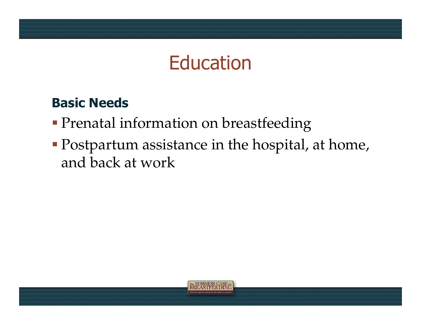### **Education**

#### **Basic Needs**

- **Prenatal information on breastfeeding**
- Postpartum assistance in the hospital, at home, and back at work

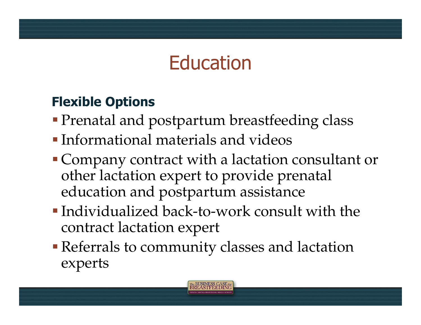### **Education**

#### **Flexible Options**

- **Prenatal and postpartum breastfeeding class**
- Informational materials and videos
- Company contract with a lactation consultant or other lactation expert to provide prenatal education and postpartum assistance
- Individualized back-to-work consult with the contract lactation expert
- Referrals to community classes and lactation experts

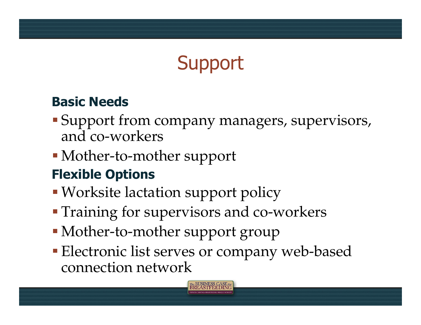# **Support**

#### **Basic Needs**

- Support from company managers, supervisors, and co-workers
- Mother-to-mother support

### **Flexible Options**

- Worksite lactation support policy
- **Training for supervisors and co-workers**
- Mother-to-mother support group
- **Electronic list serves or company web-based** connection network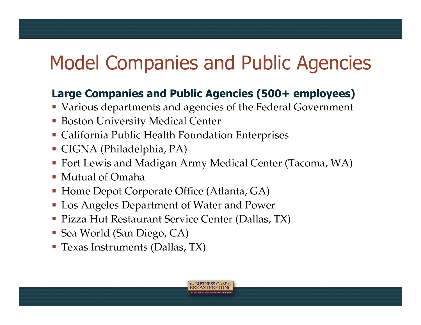## Model Companies and Public Agencies

#### **Large Companies and Public Agencies (500+ employees)**

- Various departments and agencies of the Federal Government
- **Boston University Medical Center**
- California Public Health Foundation Enterprises
- CIGNA (Philadelphia, PA)
- Fort Lewis and Madigan Army Medical Center (Tacoma, WA)
- Mutual of Omaha
- **Home Depot Corporate Office (Atlanta, GA)**
- **Los Angeles Department of Water and Power**
- **Pizza Hut Restaurant Service Center (Dallas, TX)**
- Sea World (San Diego, CA)
- Texas Instruments (Dallas, TX)

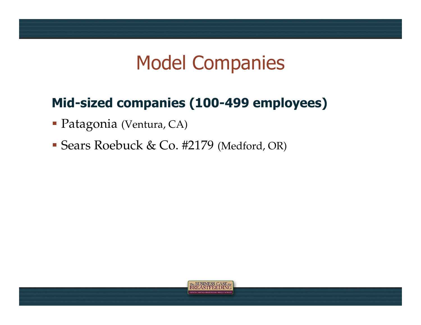### Model Companies

#### **Mid-sized companies (100-499 employees)**

- Patagonia (Ventura, CA)
- Sears Roebuck & Co. #2179 (Medford, OR)

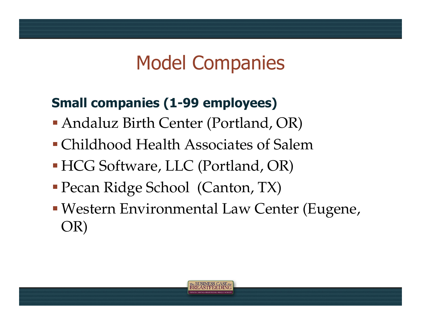### Model Companies

### **Small companies (1-99 employees)**

- Andaluz Birth Center (Portland, OR)
- Childhood Health Associates of Salem
- HCG Software, LLC (Portland, OR)
- Pecan Ridge School (Canton, TX)
- Western Environmental Law Center (Eugene, OR)

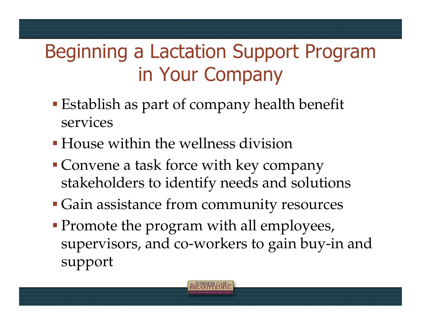# Beginning a Lactation Support Program in Your Company

- **Establish as part of company health benefit** services
- House within the wellness division
- **Convene a task force with key company** stakeholders to identify needs and solutions
- Gain assistance from community resources
- **Promote the program with all employees,** supervisors, and co-workers to gain buy-in and support

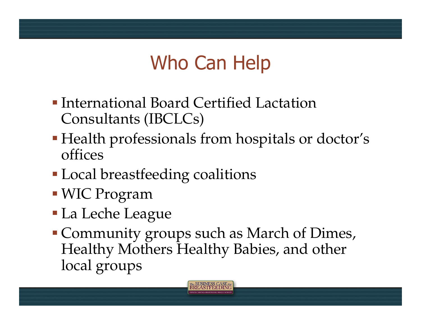# Who Can Help

- International Board Certified Lactation Consultants (IBCLCs)
- Health professionals from hospitals or doctor's offices
- **Local breastfeeding coalitions**
- WIC Program
- La Leche League
- Community groups such as March of Dimes, Healthy Mothers Healthy Babies, and other local groups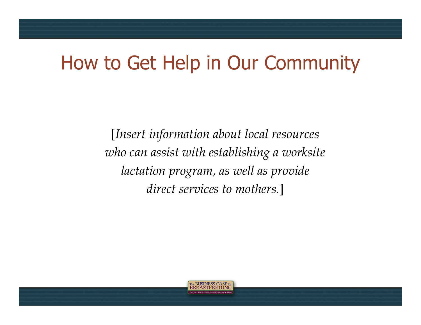### How to Get Help in Our Community

[*Insert information about local resources who can assist with establishing a worksite lactation program, as well as provide direct services to mothers.*]